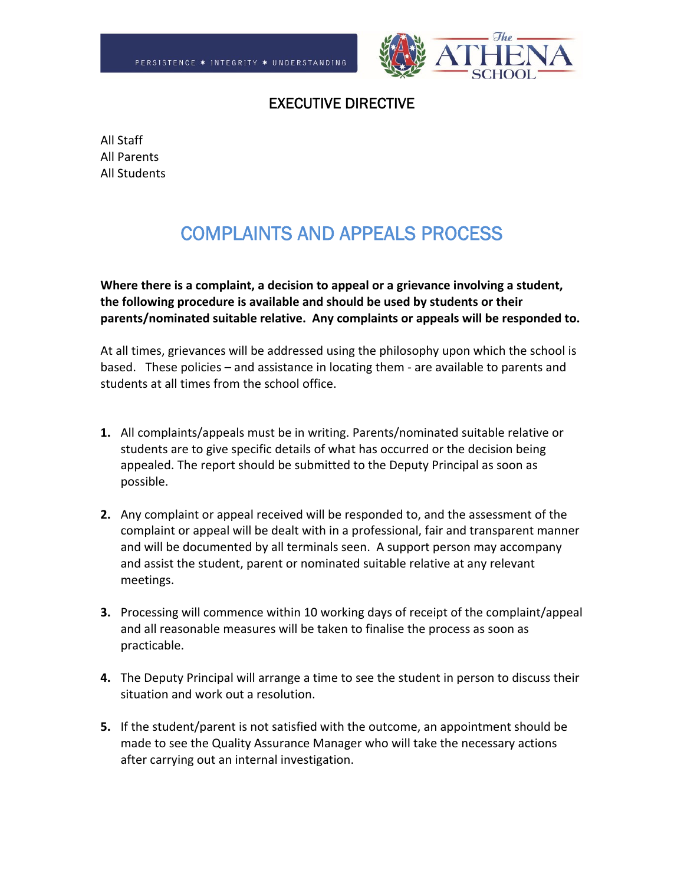

## EXECUTIVE DIRECTIVE

All Staff All Parents All Students

## COMPLAINTS AND APPEALS PROCESS

**Where there is a complaint, a decision to appeal or a grievance involving a student, the following procedure is available and should be used by students or their parents/nominated suitable relative. Any complaints or appeals will be responded to.**

At all times, grievances will be addressed using the philosophy upon which the school is based. These policies – and assistance in locating them ‐ are available to parents and students at all times from the school office.

- **1.** All complaints/appeals must be in writing. Parents/nominated suitable relative or students are to give specific details of what has occurred or the decision being appealed. The report should be submitted to the Deputy Principal as soon as possible.
- **2.** Any complaint or appeal received will be responded to, and the assessment of the complaint or appeal will be dealt with in a professional, fair and transparent manner and will be documented by all terminals seen. A support person may accompany and assist the student, parent or nominated suitable relative at any relevant meetings.
- **3.** Processing will commence within 10 working days of receipt of the complaint/appeal and all reasonable measures will be taken to finalise the process as soon as practicable.
- **4.** The Deputy Principal will arrange a time to see the student in person to discuss their situation and work out a resolution.
- **5.** If the student/parent is not satisfied with the outcome, an appointment should be made to see the Quality Assurance Manager who will take the necessary actions after carrying out an internal investigation.